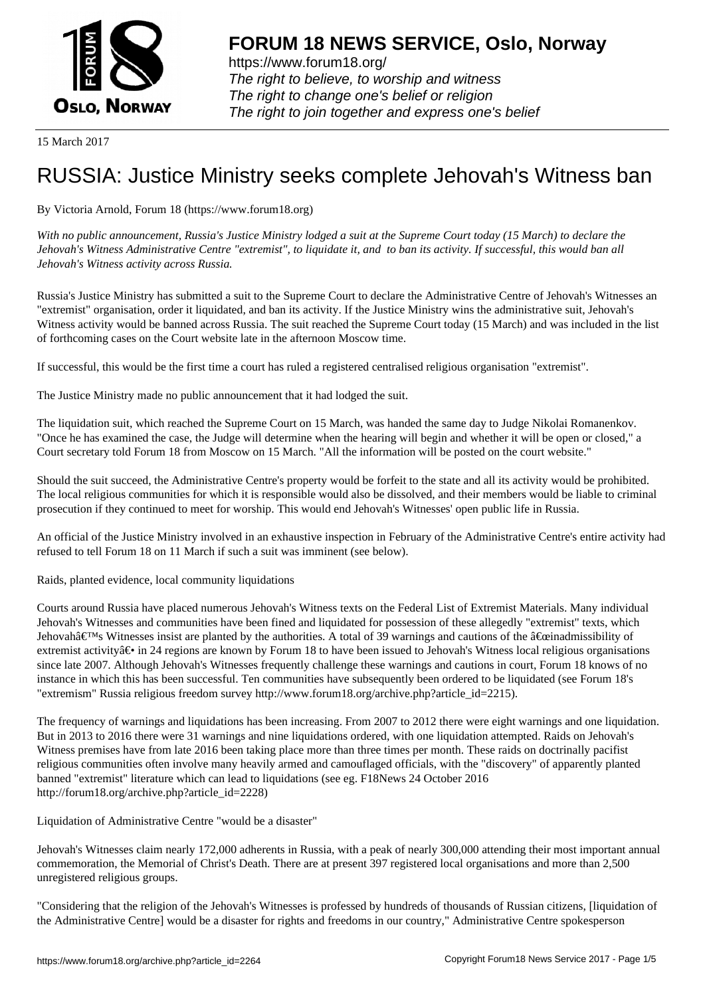

https://www.forum18.org/ The right to believe, to worship and witness The right to change one's belief or religion [The right to join together a](https://www.forum18.org/)nd express one's belief

15 March 2017

# [RUSSIA: Justic](https://www.forum18.org)e Ministry seeks complete Jehovah's Witness ban

#### By Victoria Arnold, Forum 18 (https://www.forum18.org)

*With no public announcement, Russia's Justice Ministry lodged a suit at the Supreme Court today (15 March) to declare the Jehovah's Witness Administrative Centre "extremist", to liquidate it, and to ban its activity. If successful, this would ban all Jehovah's Witness activity across Russia.*

Russia's Justice Ministry has submitted a suit to the Supreme Court to declare the Administrative Centre of Jehovah's Witnesses an "extremist" organisation, order it liquidated, and ban its activity. If the Justice Ministry wins the administrative suit, Jehovah's Witness activity would be banned across Russia. The suit reached the Supreme Court today (15 March) and was included in the list of forthcoming cases on the Court website late in the afternoon Moscow time.

If successful, this would be the first time a court has ruled a registered centralised religious organisation "extremist".

The Justice Ministry made no public announcement that it had lodged the suit.

The liquidation suit, which reached the Supreme Court on 15 March, was handed the same day to Judge Nikolai Romanenkov. "Once he has examined the case, the Judge will determine when the hearing will begin and whether it will be open or closed," a Court secretary told Forum 18 from Moscow on 15 March. "All the information will be posted on the court website."

Should the suit succeed, the Administrative Centre's property would be forfeit to the state and all its activity would be prohibited. The local religious communities for which it is responsible would also be dissolved, and their members would be liable to criminal prosecution if they continued to meet for worship. This would end Jehovah's Witnesses' open public life in Russia.

An official of the Justice Ministry involved in an exhaustive inspection in February of the Administrative Centre's entire activity had refused to tell Forum 18 on 11 March if such a suit was imminent (see below).

Raids, planted evidence, local community liquidations

Courts around Russia have placed numerous Jehovah's Witness texts on the Federal List of Extremist Materials. Many individual Jehovah's Witnesses and communities have been fined and liquidated for possession of these allegedly "extremist" texts, which Jehovahâ $\epsilon_{\text{TMs}}$  Witnesses insist are planted by the authorities. A total of 39 warnings and cautions of the  $\hat{\alpha} \epsilon_{\text{critadmissible}}$  of extremist activity $\hat{a} \in \hat{a}$  in 24 regions are known by Forum 18 to have been issued to Jehovah's Witness local religious organisations since late 2007. Although Jehovah's Witnesses frequently challenge these warnings and cautions in court, Forum 18 knows of no instance in which this has been successful. Ten communities have subsequently been ordered to be liquidated (see Forum 18's "extremism" Russia religious freedom survey http://www.forum18.org/archive.php?article\_id=2215).

The frequency of warnings and liquidations has been increasing. From 2007 to 2012 there were eight warnings and one liquidation. But in 2013 to 2016 there were 31 warnings and nine liquidations ordered, with one liquidation attempted. Raids on Jehovah's Witness premises have from late 2016 been taking place more than three times per month. These raids on doctrinally pacifist religious communities often involve many heavily armed and camouflaged officials, with the "discovery" of apparently planted banned "extremist" literature which can lead to liquidations (see eg. F18News 24 October 2016 http://forum18.org/archive.php?article\_id=2228)

Liquidation of Administrative Centre "would be a disaster"

Jehovah's Witnesses claim nearly 172,000 adherents in Russia, with a peak of nearly 300,000 attending their most important annual commemoration, the Memorial of Christ's Death. There are at present 397 registered local organisations and more than 2,500 unregistered religious groups.

"Considering that the religion of the Jehovah's Witnesses is professed by hundreds of thousands of Russian citizens, [liquidation of the Administrative Centre] would be a disaster for rights and freedoms in our country," Administrative Centre spokesperson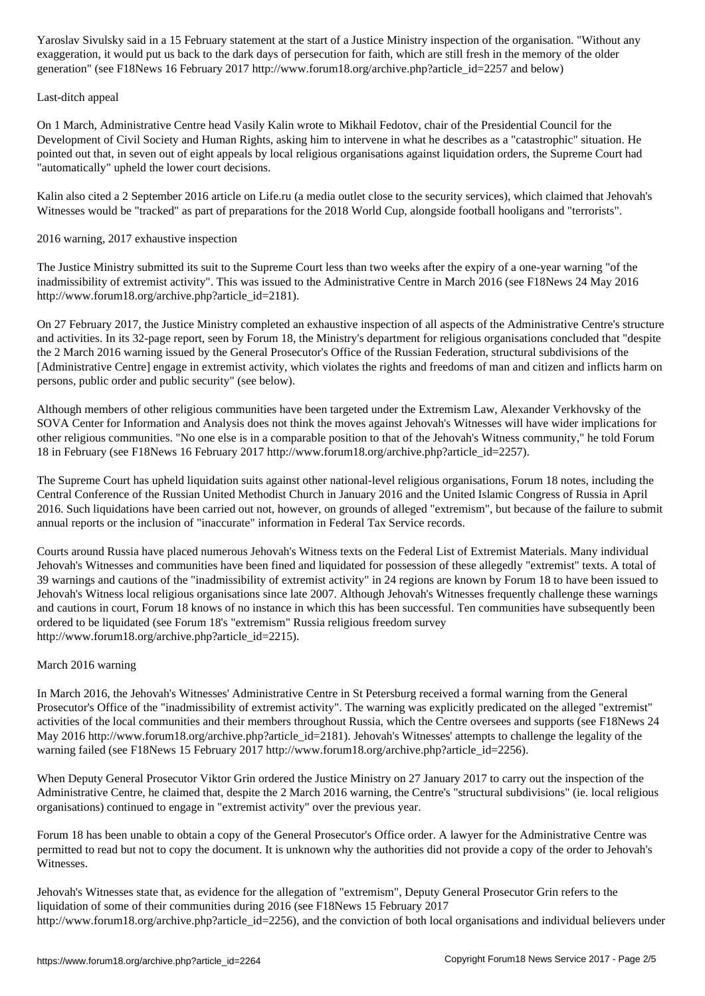exaggeration, it would put us back to the dark days of persecution for faith, which are still fresh in the memory of the older generation" (see F18News 16 February 2017 http://www.forum18.org/archive.php?article\_id=2257 and below)

#### Last-ditch appeal

On 1 March, Administrative Centre head Vasily Kalin wrote to Mikhail Fedotov, chair of the Presidential Council for the Development of Civil Society and Human Rights, asking him to intervene in what he describes as a "catastrophic" situation. He pointed out that, in seven out of eight appeals by local religious organisations against liquidation orders, the Supreme Court had "automatically" upheld the lower court decisions.

Kalin also cited a 2 September 2016 article on Life.ru (a media outlet close to the security services), which claimed that Jehovah's Witnesses would be "tracked" as part of preparations for the 2018 World Cup, alongside football hooligans and "terrorists".

## 2016 warning, 2017 exhaustive inspection

The Justice Ministry submitted its suit to the Supreme Court less than two weeks after the expiry of a one-year warning "of the inadmissibility of extremist activity". This was issued to the Administrative Centre in March 2016 (see F18News 24 May 2016 http://www.forum18.org/archive.php?article\_id=2181).

On 27 February 2017, the Justice Ministry completed an exhaustive inspection of all aspects of the Administrative Centre's structure and activities. In its 32-page report, seen by Forum 18, the Ministry's department for religious organisations concluded that "despite the 2 March 2016 warning issued by the General Prosecutor's Office of the Russian Federation, structural subdivisions of the [Administrative Centre] engage in extremist activity, which violates the rights and freedoms of man and citizen and inflicts harm on persons, public order and public security" (see below).

Although members of other religious communities have been targeted under the Extremism Law, Alexander Verkhovsky of the SOVA Center for Information and Analysis does not think the moves against Jehovah's Witnesses will have wider implications for other religious communities. "No one else is in a comparable position to that of the Jehovah's Witness community," he told Forum 18 in February (see F18News 16 February 2017 http://www.forum18.org/archive.php?article\_id=2257).

The Supreme Court has upheld liquidation suits against other national-level religious organisations, Forum 18 notes, including the Central Conference of the Russian United Methodist Church in January 2016 and the United Islamic Congress of Russia in April 2016. Such liquidations have been carried out not, however, on grounds of alleged "extremism", but because of the failure to submit annual reports or the inclusion of "inaccurate" information in Federal Tax Service records.

Courts around Russia have placed numerous Jehovah's Witness texts on the Federal List of Extremist Materials. Many individual Jehovah's Witnesses and communities have been fined and liquidated for possession of these allegedly "extremist" texts. A total of 39 warnings and cautions of the "inadmissibility of extremist activity" in 24 regions are known by Forum 18 to have been issued to Jehovah's Witness local religious organisations since late 2007. Although Jehovah's Witnesses frequently challenge these warnings and cautions in court, Forum 18 knows of no instance in which this has been successful. Ten communities have subsequently been ordered to be liquidated (see Forum 18's "extremism" Russia religious freedom survey http://www.forum18.org/archive.php?article\_id=2215).

## March 2016 warning

In March 2016, the Jehovah's Witnesses' Administrative Centre in St Petersburg received a formal warning from the General Prosecutor's Office of the "inadmissibility of extremist activity". The warning was explicitly predicated on the alleged "extremist" activities of the local communities and their members throughout Russia, which the Centre oversees and supports (see F18News 24 May 2016 http://www.forum18.org/archive.php?article\_id=2181). Jehovah's Witnesses' attempts to challenge the legality of the warning failed (see F18News 15 February 2017 http://www.forum18.org/archive.php?article\_id=2256).

When Deputy General Prosecutor Viktor Grin ordered the Justice Ministry on 27 January 2017 to carry out the inspection of the Administrative Centre, he claimed that, despite the 2 March 2016 warning, the Centre's "structural subdivisions" (ie. local religious organisations) continued to engage in "extremist activity" over the previous year.

Forum 18 has been unable to obtain a copy of the General Prosecutor's Office order. A lawyer for the Administrative Centre was permitted to read but not to copy the document. It is unknown why the authorities did not provide a copy of the order to Jehovah's Witnesses.

Jehovah's Witnesses state that, as evidence for the allegation of "extremism", Deputy General Prosecutor Grin refers to the liquidation of some of their communities during 2016 (see F18News 15 February 2017 http://www.forum18.org/archive.php?article\_id=2256), and the conviction of both local organisations and individual believers under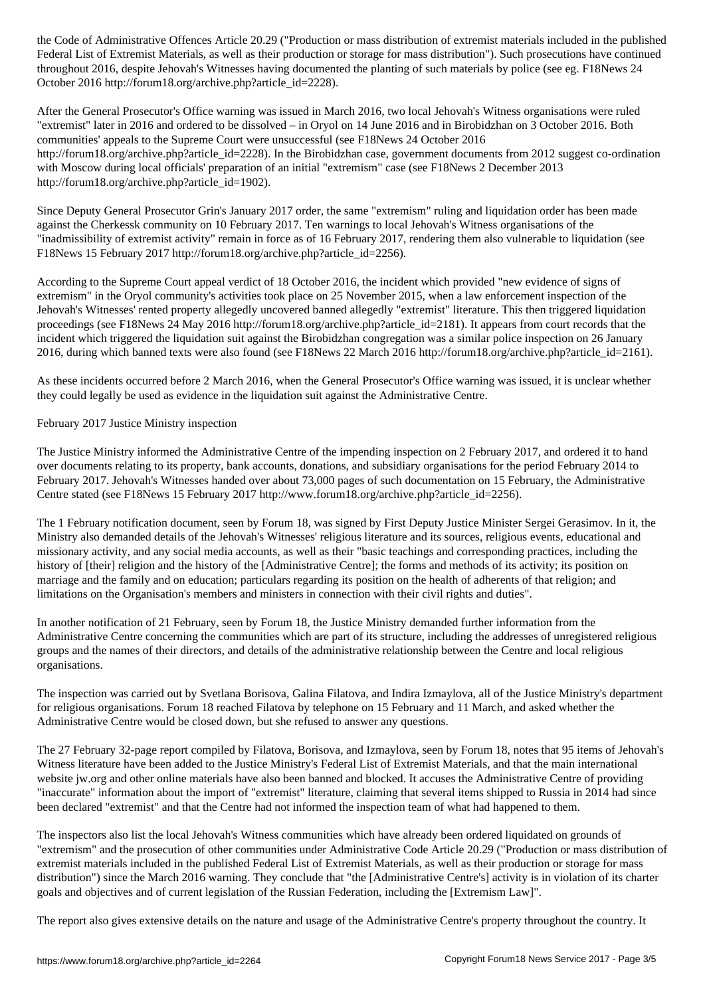Federal List of Extremist Materials, as well as the intervals of materials, as well as the intervals have continued by  $\mathcal{L}$ throughout 2016, despite Jehovah's Witnesses having documented the planting of such materials by police (see eg. F18News 24 October 2016 http://forum18.org/archive.php?article\_id=2228).

After the General Prosecutor's Office warning was issued in March 2016, two local Jehovah's Witness organisations were ruled "extremist" later in 2016 and ordered to be dissolved – in Oryol on 14 June 2016 and in Birobidzhan on 3 October 2016. Both communities' appeals to the Supreme Court were unsuccessful (see F18News 24 October 2016 http://forum18.org/archive.php?article\_id=2228). In the Birobidzhan case, government documents from 2012 suggest co-ordination with Moscow during local officials' preparation of an initial "extremism" case (see F18News 2 December 2013 http://forum18.org/archive.php?article\_id=1902).

Since Deputy General Prosecutor Grin's January 2017 order, the same "extremism" ruling and liquidation order has been made against the Cherkessk community on 10 February 2017. Ten warnings to local Jehovah's Witness organisations of the "inadmissibility of extremist activity" remain in force as of 16 February 2017, rendering them also vulnerable to liquidation (see F18News 15 February 2017 http://forum18.org/archive.php?article\_id=2256).

According to the Supreme Court appeal verdict of 18 October 2016, the incident which provided "new evidence of signs of extremism" in the Oryol community's activities took place on 25 November 2015, when a law enforcement inspection of the Jehovah's Witnesses' rented property allegedly uncovered banned allegedly "extremist" literature. This then triggered liquidation proceedings (see F18News 24 May 2016 http://forum18.org/archive.php?article\_id=2181). It appears from court records that the incident which triggered the liquidation suit against the Birobidzhan congregation was a similar police inspection on 26 January 2016, during which banned texts were also found (see F18News 22 March 2016 http://forum18.org/archive.php?article\_id=2161).

As these incidents occurred before 2 March 2016, when the General Prosecutor's Office warning was issued, it is unclear whether they could legally be used as evidence in the liquidation suit against the Administrative Centre.

#### February 2017 Justice Ministry inspection

The Justice Ministry informed the Administrative Centre of the impending inspection on 2 February 2017, and ordered it to hand over documents relating to its property, bank accounts, donations, and subsidiary organisations for the period February 2014 to February 2017. Jehovah's Witnesses handed over about 73,000 pages of such documentation on 15 February, the Administrative Centre stated (see F18News 15 February 2017 http://www.forum18.org/archive.php?article\_id=2256).

The 1 February notification document, seen by Forum 18, was signed by First Deputy Justice Minister Sergei Gerasimov. In it, the Ministry also demanded details of the Jehovah's Witnesses' religious literature and its sources, religious events, educational and missionary activity, and any social media accounts, as well as their "basic teachings and corresponding practices, including the history of [their] religion and the history of the [Administrative Centre]; the forms and methods of its activity; its position on marriage and the family and on education; particulars regarding its position on the health of adherents of that religion; and limitations on the Organisation's members and ministers in connection with their civil rights and duties".

In another notification of 21 February, seen by Forum 18, the Justice Ministry demanded further information from the Administrative Centre concerning the communities which are part of its structure, including the addresses of unregistered religious groups and the names of their directors, and details of the administrative relationship between the Centre and local religious organisations.

The inspection was carried out by Svetlana Borisova, Galina Filatova, and Indira Izmaylova, all of the Justice Ministry's department for religious organisations. Forum 18 reached Filatova by telephone on 15 February and 11 March, and asked whether the Administrative Centre would be closed down, but she refused to answer any questions.

The 27 February 32-page report compiled by Filatova, Borisova, and Izmaylova, seen by Forum 18, notes that 95 items of Jehovah's Witness literature have been added to the Justice Ministry's Federal List of Extremist Materials, and that the main international website jw.org and other online materials have also been banned and blocked. It accuses the Administrative Centre of providing "inaccurate" information about the import of "extremist" literature, claiming that several items shipped to Russia in 2014 had since been declared "extremist" and that the Centre had not informed the inspection team of what had happened to them.

The inspectors also list the local Jehovah's Witness communities which have already been ordered liquidated on grounds of "extremism" and the prosecution of other communities under Administrative Code Article 20.29 ("Production or mass distribution of extremist materials included in the published Federal List of Extremist Materials, as well as their production or storage for mass distribution") since the March 2016 warning. They conclude that "the [Administrative Centre's] activity is in violation of its charter goals and objectives and of current legislation of the Russian Federation, including the [Extremism Law]".

The report also gives extensive details on the nature and usage of the Administrative Centre's property throughout the country. It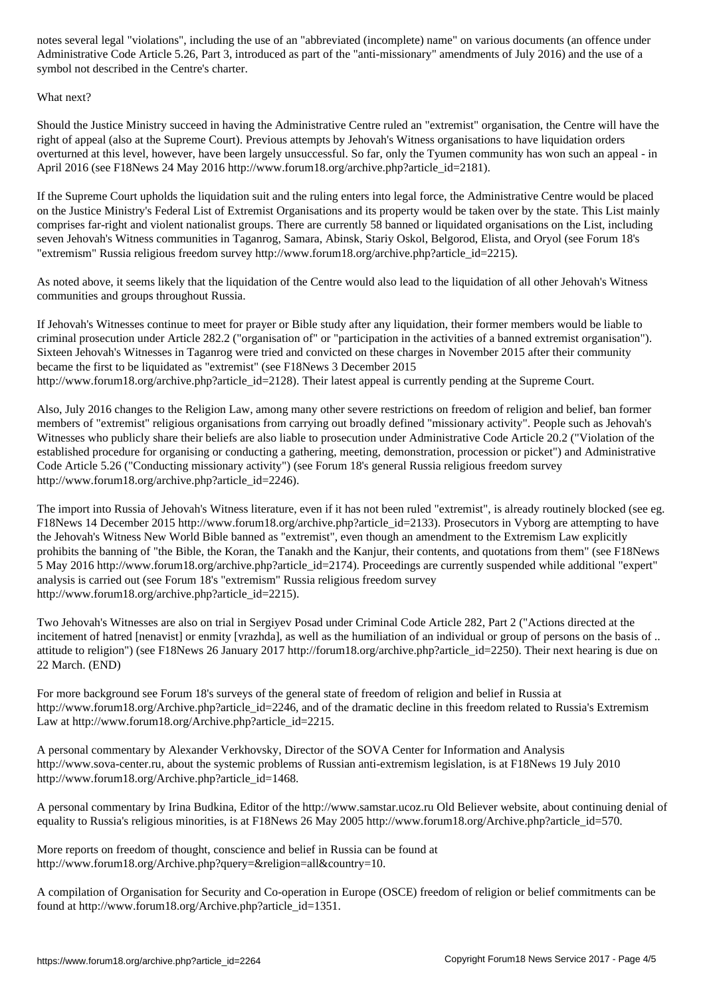Administrative Code Article 5.26, Part 3, Part of the "anti-missionary" amendments of July 2016) and the use of  $\mathcal{A}$ symbol not described in the Centre's charter.

What next?

Should the Justice Ministry succeed in having the Administrative Centre ruled an "extremist" organisation, the Centre will have the right of appeal (also at the Supreme Court). Previous attempts by Jehovah's Witness organisations to have liquidation orders overturned at this level, however, have been largely unsuccessful. So far, only the Tyumen community has won such an appeal - in April 2016 (see F18News 24 May 2016 http://www.forum18.org/archive.php?article\_id=2181).

If the Supreme Court upholds the liquidation suit and the ruling enters into legal force, the Administrative Centre would be placed on the Justice Ministry's Federal List of Extremist Organisations and its property would be taken over by the state. This List mainly comprises far-right and violent nationalist groups. There are currently 58 banned or liquidated organisations on the List, including seven Jehovah's Witness communities in Taganrog, Samara, Abinsk, Stariy Oskol, Belgorod, Elista, and Oryol (see Forum 18's "extremism" Russia religious freedom survey http://www.forum18.org/archive.php?article\_id=2215).

As noted above, it seems likely that the liquidation of the Centre would also lead to the liquidation of all other Jehovah's Witness communities and groups throughout Russia.

If Jehovah's Witnesses continue to meet for prayer or Bible study after any liquidation, their former members would be liable to criminal prosecution under Article 282.2 ("organisation of" or "participation in the activities of a banned extremist organisation"). Sixteen Jehovah's Witnesses in Taganrog were tried and convicted on these charges in November 2015 after their community became the first to be liquidated as "extremist" (see F18News 3 December 2015 http://www.forum18.org/archive.php?article\_id=2128). Their latest appeal is currently pending at the Supreme Court.

Also, July 2016 changes to the Religion Law, among many other severe restrictions on freedom of religion and belief, ban former members of "extremist" religious organisations from carrying out broadly defined "missionary activity". People such as Jehovah's Witnesses who publicly share their beliefs are also liable to prosecution under Administrative Code Article 20.2 ("Violation of the established procedure for organising or conducting a gathering, meeting, demonstration, procession or picket") and Administrative Code Article 5.26 ("Conducting missionary activity") (see Forum 18's general Russia religious freedom survey http://www.forum18.org/archive.php?article\_id=2246).

The import into Russia of Jehovah's Witness literature, even if it has not been ruled "extremist", is already routinely blocked (see eg. F18News 14 December 2015 http://www.forum18.org/archive.php?article\_id=2133). Prosecutors in Vyborg are attempting to have the Jehovah's Witness New World Bible banned as "extremist", even though an amendment to the Extremism Law explicitly prohibits the banning of "the Bible, the Koran, the Tanakh and the Kanjur, their contents, and quotations from them" (see F18News 5 May 2016 http://www.forum18.org/archive.php?article\_id=2174). Proceedings are currently suspended while additional "expert" analysis is carried out (see Forum 18's "extremism" Russia religious freedom survey http://www.forum18.org/archive.php?article\_id=2215).

Two Jehovah's Witnesses are also on trial in Sergiyev Posad under Criminal Code Article 282, Part 2 ("Actions directed at the incitement of hatred [nenavist] or enmity [vrazhda], as well as the humiliation of an individual or group of persons on the basis of .. attitude to religion") (see F18News 26 January 2017 http://forum18.org/archive.php?article\_id=2250). Their next hearing is due on 22 March. (END)

For more background see Forum 18's surveys of the general state of freedom of religion and belief in Russia at http://www.forum18.org/Archive.php?article\_id=2246, and of the dramatic decline in this freedom related to Russia's Extremism Law at http://www.forum18.org/Archive.php?article\_id=2215.

A personal commentary by Alexander Verkhovsky, Director of the SOVA Center for Information and Analysis http://www.sova-center.ru, about the systemic problems of Russian anti-extremism legislation, is at F18News 19 July 2010 http://www.forum18.org/Archive.php?article\_id=1468.

A personal commentary by Irina Budkina, Editor of the http://www.samstar.ucoz.ru Old Believer website, about continuing denial of equality to Russia's religious minorities, is at F18News 26 May 2005 http://www.forum18.org/Archive.php?article\_id=570.

More reports on freedom of thought, conscience and belief in Russia can be found at http://www.forum18.org/Archive.php?query=&religion=all&country=10.

A compilation of Organisation for Security and Co-operation in Europe (OSCE) freedom of religion or belief commitments can be found at http://www.forum18.org/Archive.php?article\_id=1351.